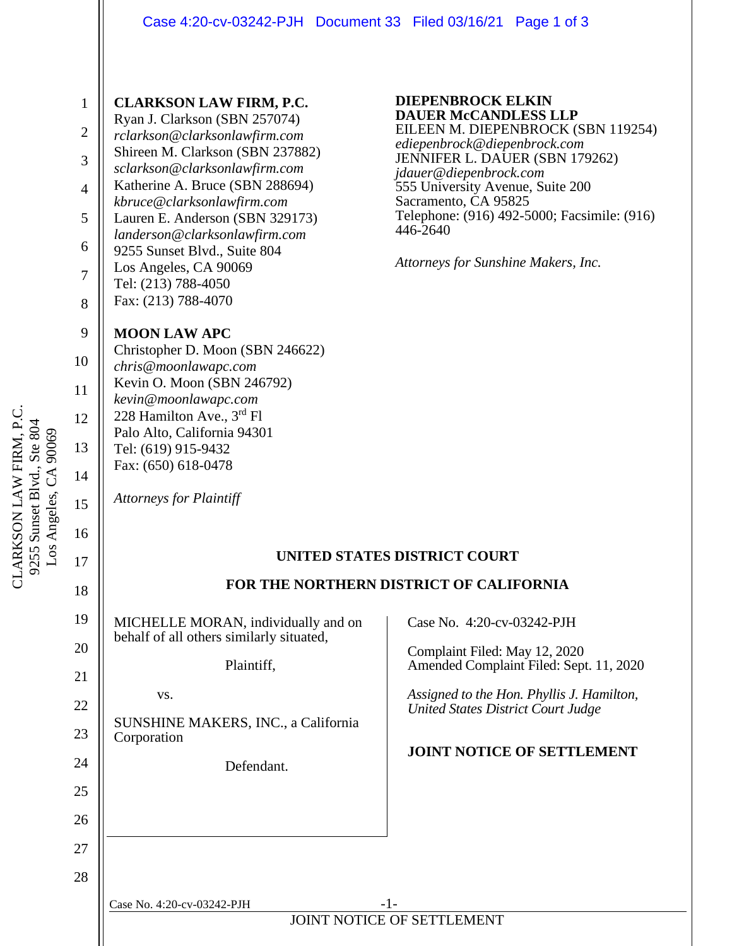## Case 4:20-cv-03242-PJH Document 33 Filed 03/16/21 Page 1 of 3

| $\mathbf{1}$<br>$\overline{2}$<br>3<br>4<br>5<br>6<br>$\overline{7}$<br>8  | <b>CLARKSON LAW FIRM, P.C.</b><br>Ryan J. Clarkson (SBN 257074)<br>rclarkson@clarksonlawfirm.com<br>Shireen M. Clarkson (SBN 237882)<br>sclarkson@clarksonlawfirm.com<br>Katherine A. Bruce (SBN 288694)<br>kbruce@clarksonlawfirm.com<br>Lauren E. Anderson (SBN 329173)<br>landerson@clarksonlawfirm.com<br>9255 Sunset Blvd., Suite 804<br>Los Angeles, CA 90069<br>Tel: (213) 788-4050<br>Fax: (213) 788-4070 | <b>DIEPENBROCK ELKIN</b><br><b>DAUER McCANDLESS LLP</b><br>EILEEN M. DIEPENBROCK (SBN 119254)<br>ediepenbrock@diepenbrock.com<br>JENNIFER L. DAUER (SBN 179262)<br>jdauer@diepenbrock.com<br>555 University Avenue, Suite 200<br>Sacramento, CA 95825<br>Telephone: (916) 492-5000; Facsimile: (916)<br>446-2640<br>Attorneys for Sunshine Makers, Inc. |
|----------------------------------------------------------------------------|-------------------------------------------------------------------------------------------------------------------------------------------------------------------------------------------------------------------------------------------------------------------------------------------------------------------------------------------------------------------------------------------------------------------|---------------------------------------------------------------------------------------------------------------------------------------------------------------------------------------------------------------------------------------------------------------------------------------------------------------------------------------------------------|
| 9<br>10<br>11<br>12<br>13<br>14<br>15                                      | <b>MOON LAW APC</b><br>Christopher D. Moon (SBN 246622)<br>chris@moonlawapc.com<br>Kevin O. Moon (SBN 246792)<br>kevin@moonlawapc.com<br>228 Hamilton Ave., 3rd Fl<br>Palo Alto, California 94301<br>Tel: (619) 915-9432<br>Fax: (650) 618-0478<br><b>Attorneys for Plaintiff</b>                                                                                                                                 |                                                                                                                                                                                                                                                                                                                                                         |
| 16<br>17<br>18<br>19<br>20<br>21<br>22<br>23<br>24<br>25<br>26<br>27<br>28 | MICHELLE MORAN, individually and on<br>behalf of all others similarly situated,<br>Plaintiff,<br>VS.<br>SUNSHINE MAKERS, INC., a California<br>Corporation<br>Defendant.                                                                                                                                                                                                                                          | <b>UNITED STATES DISTRICT COURT</b><br>FOR THE NORTHERN DISTRICT OF CALIFORNIA<br>Case No. 4:20-cv-03242-PJH<br>Complaint Filed: May 12, 2020<br>Amended Complaint Filed: Sept. 11, 2020<br>Assigned to the Hon. Phyllis J. Hamilton,<br><b>United States District Court Judge</b><br>JOINT NOTICE OF SETTLEMENT                                        |
|                                                                            | Case No. 4:20-cv-03242-PJH                                                                                                                                                                                                                                                                                                                                                                                        | $-1-$<br>JOINT NOTICE OF SETTLEMENT                                                                                                                                                                                                                                                                                                                     |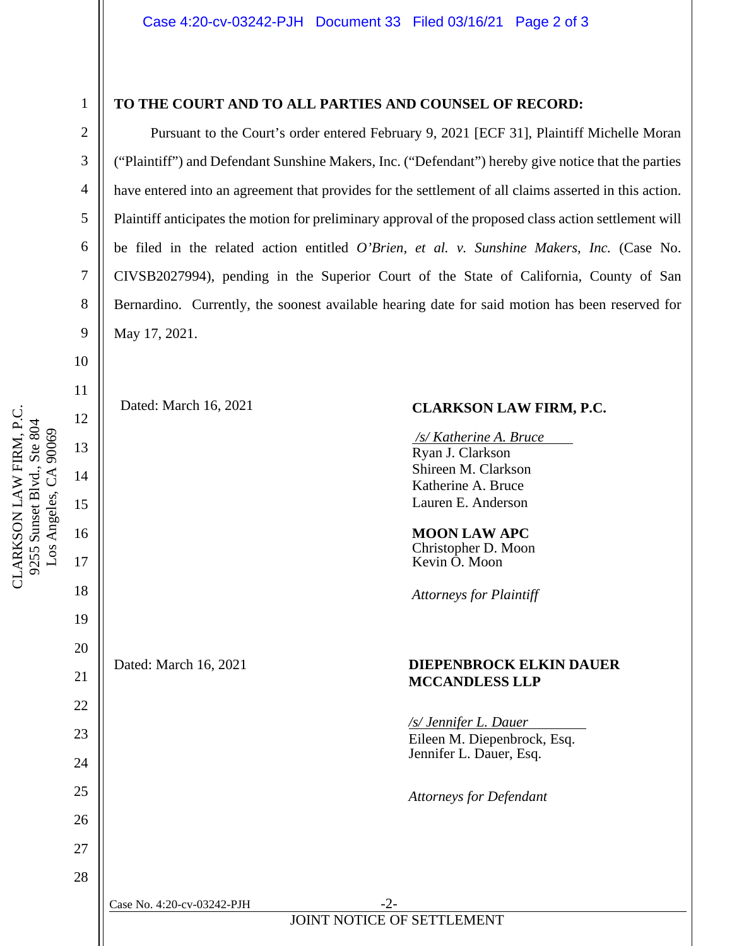# 10 11 12 9255 Sunset Blvd., Ste 804 9255 Sunset Blvd., Ste 804 Los Angeles, CA 90069 Los Angeles, CA 90069 13 14 15 16 17 18

CLARKSON LAW FIRM, P.C.

CLARKSON LAW FIRM, P.C.

1

2

3

4

5

6

7

8

9

19

20

21

22

23

24

25

26

27

28

#### **TO THE COURT AND TO ALL PARTIES AND COUNSEL OF RECORD:**

Pursuant to the Court's order entered February 9, 2021 [ECF 31], Plaintiff Michelle Moran ("Plaintiff") and Defendant Sunshine Makers, Inc. ("Defendant") hereby give notice that the parties have entered into an agreement that provides for the settlement of all claims asserted in this action. Plaintiff anticipates the motion for preliminary approval of the proposed class action settlement will be filed in the related action entitled *O'Brien, et al. v. Sunshine Makers, Inc.* (Case No. CIVSB2027994), pending in the Superior Court of the State of California, County of San Bernardino. Currently, the soonest available hearing date for said motion has been reserved for May 17, 2021.

### Dated: March 16, 2021 **CLARKSON LAW FIRM, P.C.**

*/s/ Katherine A. Bruce s* Ryan J. Clarkson Shireen M. Clarkson Katherine A. Bruce Lauren E. Anderson

**MOON LAW APC** Christopher D. Moon Kevin O. Moon

*Attorneys for Plaintiff*

#### Dated: March 16, 2021 **DIEPENBROCK ELKIN DAUER MCCANDLESS LLP**

*/s/ Jennifer L. Dauer* Eileen M. Diepenbrock, Esq. Jennifer L. Dauer, Esq.

*Attorneys for Defendant*

JOINT NOTICE OF SETTLEMENT Case No. 4:20-cv-03242-PJH -2-